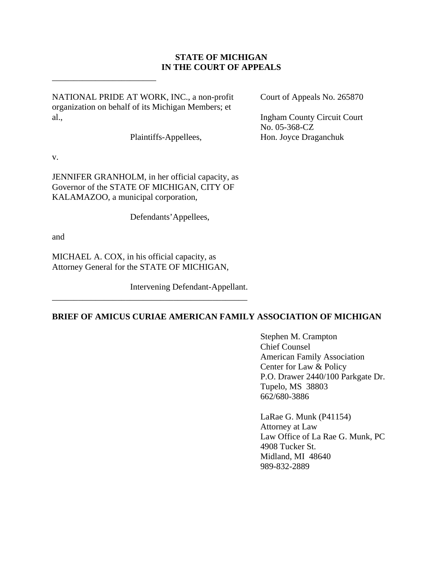### **STATE OF MICHIGAN IN THE COURT OF APPEALS**

NATIONAL PRIDE AT WORK, INC., a non-profit Court of Appeals No. 265870 organization on behalf of its Michigan Members; et al., Ingham County Circuit Court

\_\_\_\_\_\_\_\_\_\_\_\_\_\_\_\_\_\_\_\_\_\_\_\_

v.

JENNIFER GRANHOLM, in her official capacity, as Governor of the STATE OF MICHIGAN, CITY OF KALAMAZOO, a municipal corporation,

Defendants'Appellees,

and

MICHAEL A. COX, in his official capacity, as Attorney General for the STATE OF MICHIGAN,

\_\_\_\_\_\_\_\_\_\_\_\_\_\_\_\_\_\_\_\_\_\_\_\_\_\_\_\_\_\_\_\_\_\_\_\_\_\_\_\_\_\_\_\_\_

Intervening Defendant-Appellant.

**BRIEF OF AMICUS CURIAE AMERICAN FAMILY ASSOCIATION OF MICHIGAN**

 Stephen M. Crampton Chief Counsel American Family Association Center for Law & Policy P.O. Drawer 2440/100 Parkgate Dr. Tupelo, MS 38803 662/680-3886

 LaRae G. Munk (P41154) Attorney at Law Law Office of La Rae G. Munk, PC 4908 Tucker St. Midland, MI 48640 989-832-2889

 No. 05-368-CZ Plaintiffs-Appellees, Hon. Joyce Draganchuk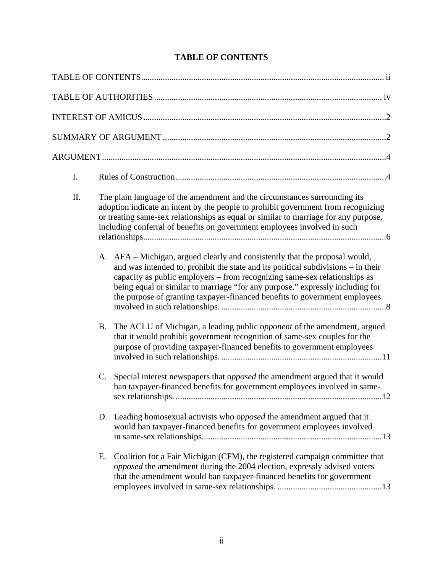| I.  |           |                                                                                                                                                                                                                                                                                                                                                                                                              |
|-----|-----------|--------------------------------------------------------------------------------------------------------------------------------------------------------------------------------------------------------------------------------------------------------------------------------------------------------------------------------------------------------------------------------------------------------------|
| II. |           | The plain language of the amendment and the circumstances surrounding its<br>adoption indicate an intent by the people to prohibit government from recognizing<br>or treating same-sex relationships as equal or similar to marriage for any purpose,<br>including conferral of benefits on government employees involved in such                                                                            |
|     |           | A. AFA – Michigan, argued clearly and consistently that the proposal would,<br>and was intended to, prohibit the state and its political subdivisions – in their<br>capacity as public employers – from recognizing same-sex relationships as<br>being equal or similar to marriage "for any purpose," expressly including for<br>the purpose of granting taxpayer-financed benefits to government employees |
|     | <b>B.</b> | The ACLU of Michigan, a leading public opponent of the amendment, argued<br>that it would prohibit government recognition of same-sex couples for the<br>purpose of providing taxpayer-financed benefits to government employees                                                                                                                                                                             |
|     | C.        | Special interest newspapers that opposed the amendment argued that it would<br>ban taxpayer-financed benefits for government employees involved in same-                                                                                                                                                                                                                                                     |
|     |           | D. Leading homosexual activists who opposed the amendment argued that it<br>would ban taxpayer-financed benefits for government employees involved                                                                                                                                                                                                                                                           |
|     | Е.        | Coalition for a Fair Michigan (CFM), the registered campaign committee that<br>opposed the amendment during the 2004 election, expressly advised voters<br>that the amendment would ban taxpayer-financed benefits for government                                                                                                                                                                            |

# **TABLE OF CONTENTS**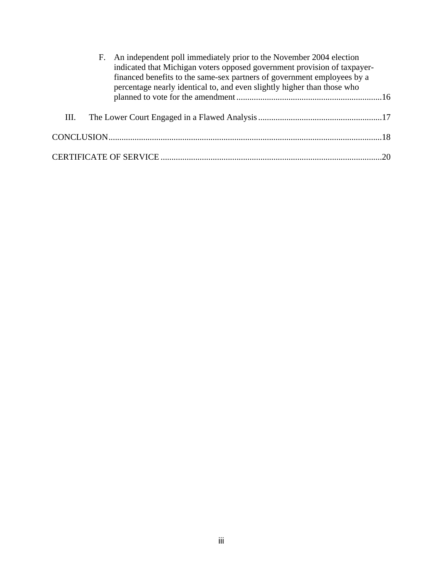|      | F. An independent poll immediately prior to the November 2004 election<br>indicated that Michigan voters opposed government provision of taxpayer-<br>financed benefits to the same-sex partners of government employees by a<br>percentage nearly identical to, and even slightly higher than those who |  |
|------|----------------------------------------------------------------------------------------------------------------------------------------------------------------------------------------------------------------------------------------------------------------------------------------------------------|--|
|      |                                                                                                                                                                                                                                                                                                          |  |
| III. |                                                                                                                                                                                                                                                                                                          |  |
|      |                                                                                                                                                                                                                                                                                                          |  |
|      |                                                                                                                                                                                                                                                                                                          |  |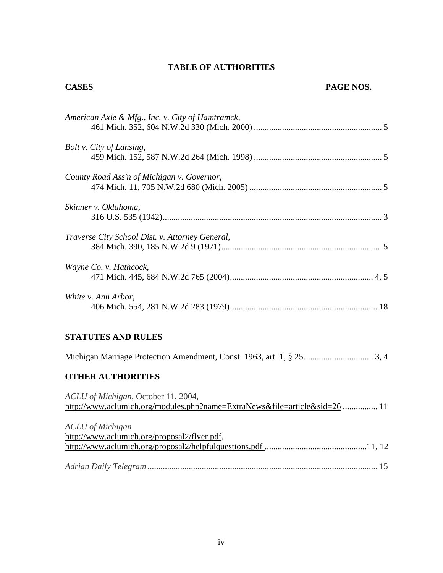# **TABLE OF AUTHORITIES**

## **CASES PAGE NOS.**

| American Axle & Mfg., Inc. v. City of Hamtramck, |
|--------------------------------------------------|
| Bolt v. City of Lansing,                         |
| County Road Ass'n of Michigan v. Governor,       |
| Skinner v. Oklahoma,                             |
| Traverse City School Dist. v. Attorney General,  |
| Wayne Co. v. Hathcock,                           |
| White v. Ann Arbor,                              |

# **STATUTES AND RULES**

## **OTHER AUTHORITIES**

| ACLU of Michigan, October 11, 2004,                                        |  |
|----------------------------------------------------------------------------|--|
| http://www.aclumich.org/modules.php?name=ExtraNews&file=article&sid=26  11 |  |
| <b>ACLU</b> of Michigan                                                    |  |
| http://www.aclumich.org/proposal2/flyer.pdf,                               |  |
|                                                                            |  |
|                                                                            |  |
|                                                                            |  |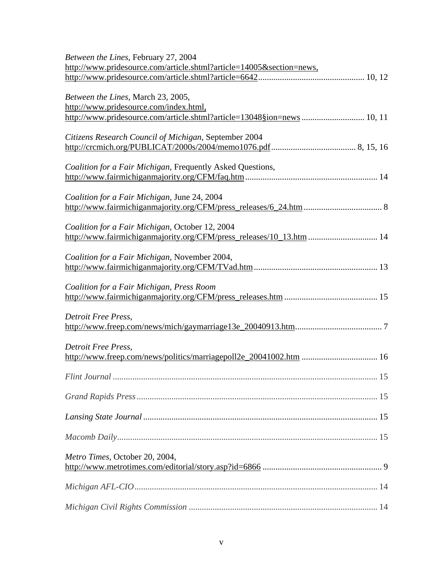| Between the Lines, February 27, 2004                                   |
|------------------------------------------------------------------------|
| http://www.pridesource.com/article.shtml?article=14005&section=news,   |
|                                                                        |
| Between the Lines, March 23, 2005,                                     |
| http://www.pridesource.com/index.html,                                 |
| http://www.pridesource.com/article.shtml?article=13048§ion=news 10, 11 |
| Citizens Research Council of Michigan, September 2004                  |
|                                                                        |
|                                                                        |
| Coalition for a Fair Michigan, Frequently Asked Questions,             |
|                                                                        |
| Coalition for a Fair Michigan, June 24, 2004                           |
|                                                                        |
|                                                                        |
| Coalition for a Fair Michigan, October 12, 2004                        |
| http://www.fairmichiganmajority.org/CFM/press_releases/10_13.htm  14   |
| Coalition for a Fair Michigan, November 2004,                          |
|                                                                        |
|                                                                        |
| Coalition for a Fair Michigan, Press Room                              |
|                                                                        |
|                                                                        |
| Detroit Free Press,                                                    |
|                                                                        |
| Detroit Free Press,                                                    |
|                                                                        |
|                                                                        |
|                                                                        |
|                                                                        |
|                                                                        |
|                                                                        |
|                                                                        |
|                                                                        |
| Metro Times, October 20, 2004,                                         |
|                                                                        |
|                                                                        |
|                                                                        |
|                                                                        |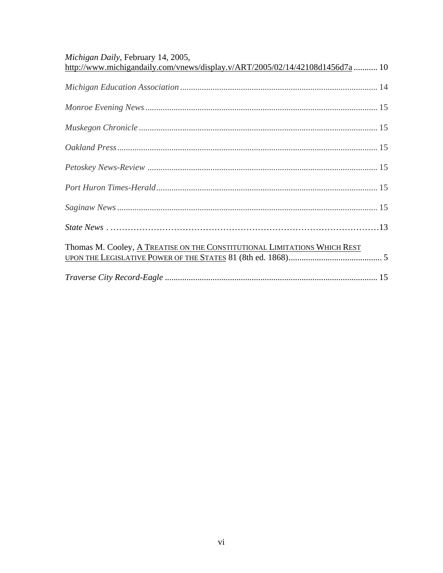| Michigan Daily, February 14, 2005,<br>http://www.michigandaily.com/vnews/display.v/ART/2005/02/14/42108d1456d7a  10 |  |
|---------------------------------------------------------------------------------------------------------------------|--|
|                                                                                                                     |  |
|                                                                                                                     |  |
|                                                                                                                     |  |
|                                                                                                                     |  |
|                                                                                                                     |  |
|                                                                                                                     |  |
|                                                                                                                     |  |
|                                                                                                                     |  |
| Thomas M. Cooley, A TREATISE ON THE CONSTITUTIONAL LIMITATIONS WHICH REST                                           |  |
|                                                                                                                     |  |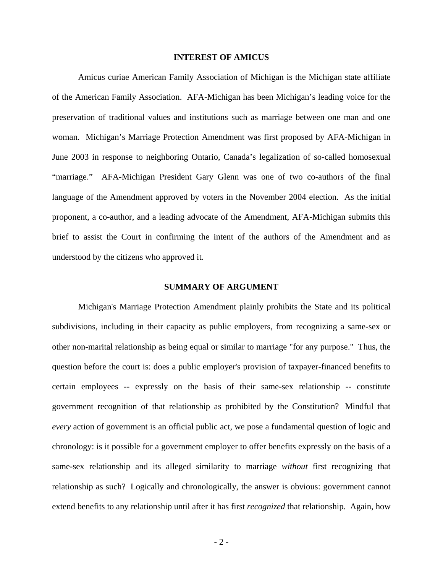#### **INTEREST OF AMICUS**

Amicus curiae American Family Association of Michigan is the Michigan state affiliate of the American Family Association. AFA-Michigan has been Michigan's leading voice for the preservation of traditional values and institutions such as marriage between one man and one woman. Michigan's Marriage Protection Amendment was first proposed by AFA-Michigan in June 2003 in response to neighboring Ontario, Canada's legalization of so-called homosexual "marriage." AFA-Michigan President Gary Glenn was one of two co-authors of the final language of the Amendment approved by voters in the November 2004 election. As the initial proponent, a co-author, and a leading advocate of the Amendment, AFA-Michigan submits this brief to assist the Court in confirming the intent of the authors of the Amendment and as understood by the citizens who approved it.

#### **SUMMARY OF ARGUMENT**

 Michigan's Marriage Protection Amendment plainly prohibits the State and its political subdivisions, including in their capacity as public employers, from recognizing a same-sex or other non-marital relationship as being equal or similar to marriage "for any purpose." Thus, the question before the court is: does a public employer's provision of taxpayer-financed benefits to certain employees -- expressly on the basis of their same-sex relationship -- constitute government recognition of that relationship as prohibited by the Constitution? Mindful that *every* action of government is an official public act, we pose a fundamental question of logic and chronology: is it possible for a government employer to offer benefits expressly on the basis of a same-sex relationship and its alleged similarity to marriage *without* first recognizing that relationship as such? Logically and chronologically, the answer is obvious: government cannot extend benefits to any relationship until after it has first *recognized* that relationship. Again, how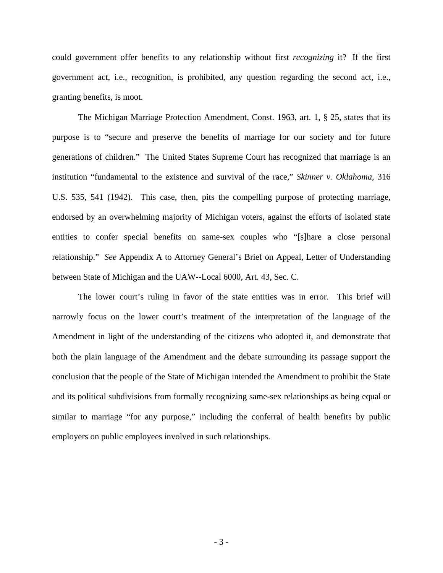could government offer benefits to any relationship without first *recognizing* it? If the first government act, i.e., recognition, is prohibited, any question regarding the second act, i.e., granting benefits, is moot.

The Michigan Marriage Protection Amendment, Const. 1963, art. 1, § 25, states that its purpose is to "secure and preserve the benefits of marriage for our society and for future generations of children." The United States Supreme Court has recognized that marriage is an institution "fundamental to the existence and survival of the race," *Skinner v. Oklahoma*, 316 U.S. 535, 541 (1942). This case, then, pits the compelling purpose of protecting marriage, endorsed by an overwhelming majority of Michigan voters, against the efforts of isolated state entities to confer special benefits on same-sex couples who "[s]hare a close personal relationship." *See* Appendix A to Attorney General's Brief on Appeal, Letter of Understanding between State of Michigan and the UAW--Local 6000, Art. 43, Sec. C.

The lower court's ruling in favor of the state entities was in error. This brief will narrowly focus on the lower court's treatment of the interpretation of the language of the Amendment in light of the understanding of the citizens who adopted it, and demonstrate that both the plain language of the Amendment and the debate surrounding its passage support the conclusion that the people of the State of Michigan intended the Amendment to prohibit the State and its political subdivisions from formally recognizing same-sex relationships as being equal or similar to marriage "for any purpose," including the conferral of health benefits by public employers on public employees involved in such relationships.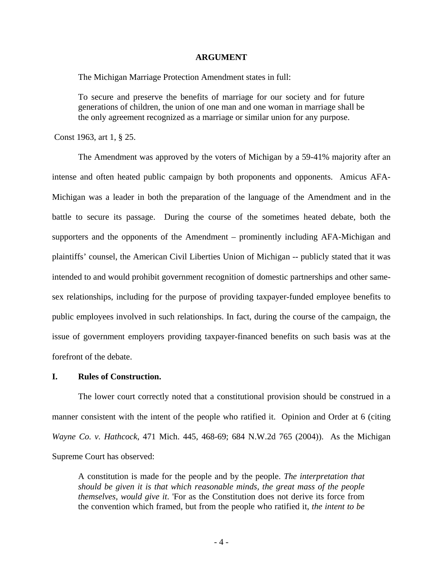#### **ARGUMENT**

The Michigan Marriage Protection Amendment states in full:

To secure and preserve the benefits of marriage for our society and for future generations of children, the union of one man and one woman in marriage shall be the only agreement recognized as a marriage or similar union for any purpose.

Const 1963, art 1, § 25.

The Amendment was approved by the voters of Michigan by a 59-41% majority after an intense and often heated public campaign by both proponents and opponents. Amicus AFA-Michigan was a leader in both the preparation of the language of the Amendment and in the battle to secure its passage. During the course of the sometimes heated debate, both the supporters and the opponents of the Amendment – prominently including AFA-Michigan and plaintiffs' counsel, the American Civil Liberties Union of Michigan -- publicly stated that it was intended to and would prohibit government recognition of domestic partnerships and other samesex relationships, including for the purpose of providing taxpayer-funded employee benefits to public employees involved in such relationships. In fact, during the course of the campaign, the issue of government employers providing taxpayer-financed benefits on such basis was at the forefront of the debate.

#### **I. Rules of Construction.**

The lower court correctly noted that a constitutional provision should be construed in a manner consistent with the intent of the people who ratified it. Opinion and Order at 6 (citing *Wayne Co. v. Hathcock*, 471 Mich. 445, 468-69; 684 N.W.2d 765 (2004)). As the Michigan Supreme Court has observed:

A constitution is made for the people and by the people. *The interpretation that should be given it is that which reasonable minds, the great mass of the people themselves, would give it*. 'For as the Constitution does not derive its force from the convention which framed, but from the people who ratified it, *the intent to be*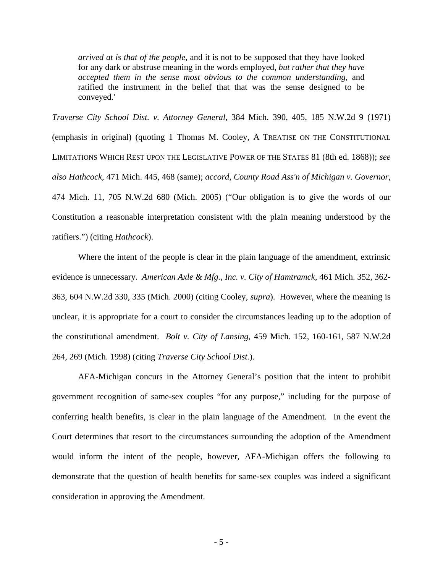*arrived at is that of the people*, and it is not to be supposed that they have looked for any dark or abstruse meaning in the words employed, *but rather that they have accepted them in the sense most obvious to the common understanding*, and ratified the instrument in the belief that that was the sense designed to be conveyed.'

*Traverse City School Dist. v. Attorney General*, 384 Mich. 390, 405, 185 N.W.2d 9 (1971) (emphasis in original) (quoting 1 Thomas M. Cooley, A TREATISE ON THE CONSTITUTIONAL LIMITATIONS WHICH REST UPON THE LEGISLATIVE POWER OF THE STATES 81 (8th ed. 1868)); *see also Hathcock*, 471 Mich. 445, 468 (same); *accord*, *County Road Ass'n of Michigan v. Governor*, 474 Mich. 11, 705 N.W.2d 680 (Mich. 2005) ("Our obligation is to give the words of our Constitution a reasonable interpretation consistent with the plain meaning understood by the ratifiers.") (citing *Hathcock*).

Where the intent of the people is clear in the plain language of the amendment, extrinsic evidence is unnecessary. *American Axle & Mfg., Inc. v. City of Hamtramck*, 461 Mich. 352, 362- 363, 604 N.W.2d 330, 335 (Mich. 2000) (citing Cooley, *supra*). However, where the meaning is unclear, it is appropriate for a court to consider the circumstances leading up to the adoption of the constitutional amendment. *Bolt v. City of Lansing*, 459 Mich. 152, 160-161, 587 N.W.2d 264, 269 (Mich. 1998) (citing *Traverse City School Dist.*).

AFA-Michigan concurs in the Attorney General's position that the intent to prohibit government recognition of same-sex couples "for any purpose," including for the purpose of conferring health benefits, is clear in the plain language of the Amendment. In the event the Court determines that resort to the circumstances surrounding the adoption of the Amendment would inform the intent of the people, however, AFA-Michigan offers the following to demonstrate that the question of health benefits for same-sex couples was indeed a significant consideration in approving the Amendment.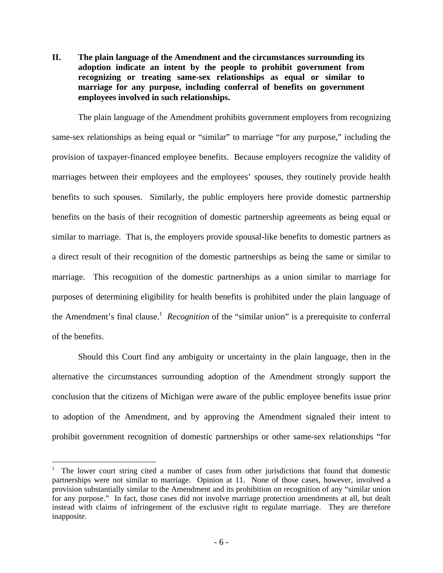**II. The plain language of the Amendment and the circumstances surrounding its adoption indicate an intent by the people to prohibit government from recognizing or treating same-sex relationships as equal or similar to marriage for any purpose, including conferral of benefits on government employees involved in such relationships.** 

The plain language of the Amendment prohibits government employers from recognizing same-sex relationships as being equal or "similar" to marriage "for any purpose," including the provision of taxpayer-financed employee benefits. Because employers recognize the validity of marriages between their employees and the employees' spouses, they routinely provide health benefits to such spouses. Similarly, the public employers here provide domestic partnership benefits on the basis of their recognition of domestic partnership agreements as being equal or similar to marriage. That is, the employers provide spousal-like benefits to domestic partners as a direct result of their recognition of the domestic partnerships as being the same or similar to marriage. This recognition of the domestic partnerships as a union similar to marriage for purposes of determining eligibility for health benefits is prohibited under the plain language of the Amendment's final clause.<sup>[1](#page-10-0)</sup> *Recognition* of the "similar union" is a prerequisite to conferral of the benefits.

Should this Court find any ambiguity or uncertainty in the plain language, then in the alternative the circumstances surrounding adoption of the Amendment strongly support the conclusion that the citizens of Michigan were aware of the public employee benefits issue prior to adoption of the Amendment, and by approving the Amendment signaled their intent to prohibit government recognition of domestic partnerships or other same-sex relationships "for

 $\overline{a}$ 

<span id="page-10-0"></span><sup>1</sup> The lower court string cited a number of cases from other jurisdictions that found that domestic partnerships were not similar to marriage. Opinion at 11. None of those cases, however, involved a provision substantially similar to the Amendment and its prohibition on recognition of any "similar union for any purpose." In fact, those cases did not involve marriage protection amendments at all, but dealt instead with claims of infringement of the exclusive right to regulate marriage. They are therefore inapposite.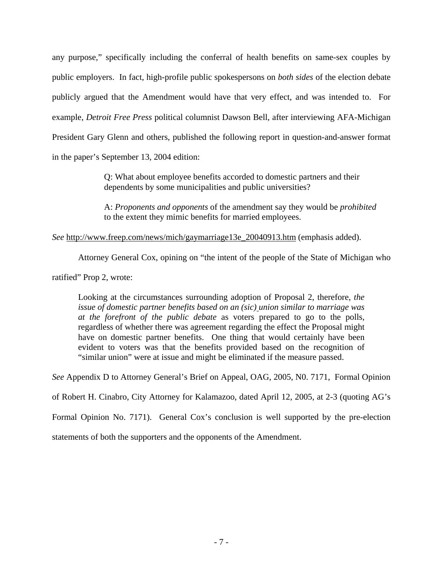any purpose," specifically including the conferral of health benefits on same-sex couples by public employers. In fact, high-profile public spokespersons on *both sides* of the election debate publicly argued that the Amendment would have that very effect, and was intended to. For example, *Detroit Free Press* political columnist Dawson Bell, after interviewing AFA-Michigan President Gary Glenn and others, published the following report in question-and-answer format in the paper's September 13, 2004 edition:

> Q: What about employee benefits accorded to domestic partners and their dependents by some municipalities and public universities?

 A: *Proponents and opponents* of the amendment say they would be *prohibited*  to the extent they mimic benefits for married employees.

### *See* [http://www.freep.com/news/mich/gaymarriage13e\\_20040913.htm](http://www.freep.com/news/mich/gaymarriage13e_20040913.htm) (emphasis added).

Attorney General Cox, opining on "the intent of the people of the State of Michigan who

ratified" Prop 2, wrote:

Looking at the circumstances surrounding adoption of Proposal 2, therefore, *the issue of domestic partner benefits based on an (sic) union similar to marriage was at the forefront of the public debate* as voters prepared to go to the polls, regardless of whether there was agreement regarding the effect the Proposal might have on domestic partner benefits. One thing that would certainly have been evident to voters was that the benefits provided based on the recognition of "similar union" were at issue and might be eliminated if the measure passed.

*See* Appendix D to Attorney General's Brief on Appeal, OAG, 2005, N0. 7171, Formal Opinion

of Robert H. Cinabro, City Attorney for Kalamazoo, dated April 12, 2005, at 2-3 (quoting AG's

Formal Opinion No. 7171). General Cox's conclusion is well supported by the pre-election

statements of both the supporters and the opponents of the Amendment.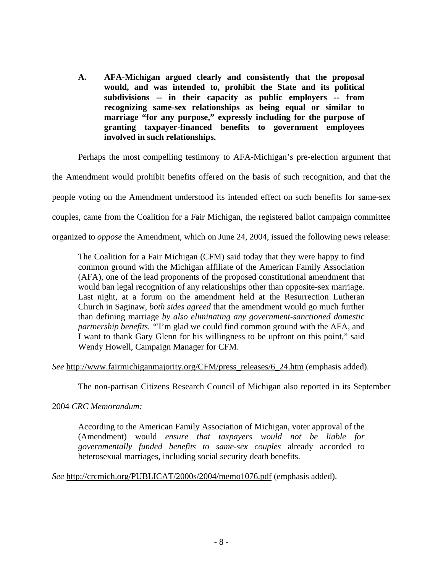**A. AFA-Michigan argued clearly and consistently that the proposal would, and was intended to, prohibit the State and its political subdivisions -- in their capacity as public employers -- from recognizing same-sex relationships as being equal or similar to marriage "for any purpose," expressly including for the purpose of granting taxpayer-financed benefits to government employees involved in such relationships.** 

Perhaps the most compelling testimony to AFA-Michigan's pre-election argument that

the Amendment would prohibit benefits offered on the basis of such recognition, and that the

people voting on the Amendment understood its intended effect on such benefits for same-sex

couples, came from the Coalition for a Fair Michigan, the registered ballot campaign committee

organized to *oppose* the Amendment, which on June 24, 2004, issued the following news release:

The Coalition for a Fair Michigan (CFM) said today that they were happy to find common ground with the Michigan affiliate of the American Family Association (AFA), one of the lead proponents of the proposed constitutional amendment that would ban legal recognition of any relationships other than opposite-sex marriage. Last night, at a forum on the amendment held at the Resurrection Lutheran Church in Saginaw, *both sides agreed* that the amendment would go much further than defining marriage *by also eliminating any government-sanctioned domestic partnership benefits. "*'I'm glad we could find common ground with the AFA, and I want to thank Gary Glenn for his willingness to be upfront on this point," said Wendy Howell, Campaign Manager for CFM.

*See* [http://www.fairmichiganmajority.org/CFM/press\\_releases/6\\_24.htm](http://www.fairmichiganmajority.org/CFM/press_releases/6_24.htm) (emphasis added).

The non-partisan Citizens Research Council of Michigan also reported in its September

#### 2004 *CRC Memorandum:*

According to the American Family Association of Michigan, voter approval of the (Amendment) would *ensure that taxpayers would not be liable for governmentally funded benefits to same-sex couples* already accorded to heterosexual marriages, including social security death benefits.

*See* <http://crcmich.org/PUBLICAT/2000s/2004/memo1076.pdf>(emphasis added).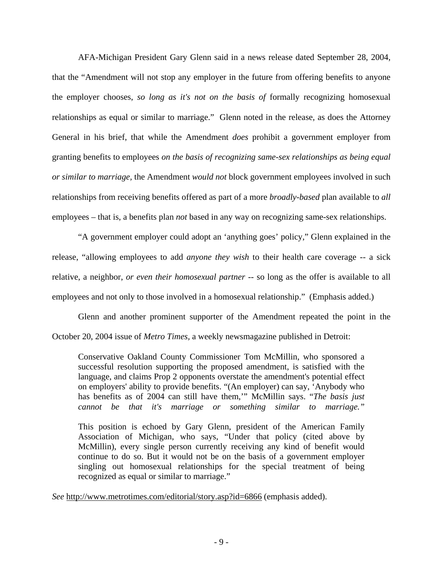AFA-Michigan President Gary Glenn said in a news release dated September 28, 2004, that the "Amendment will not stop any employer in the future from offering benefits to anyone the employer chooses, *so long as it's not on the basis of* formally recognizing homosexual relationships as equal or similar to marriage." Glenn noted in the release, as does the Attorney General in his brief, that while the Amendment *does* prohibit a government employer from granting benefits to employees *on the basis of recognizing same-sex relationships as being equal or similar to marriage,* the Amendment *would not* block government employees involved in such relationships from receiving benefits offered as part of a more *broadly-based* plan available to *all* employees – that is, a benefits plan *not* based in any way on recognizing same-sex relationships.

"A government employer could adopt an 'anything goes' policy," Glenn explained in the release, "allowing employees to add *anyone they wish* to their health care coverage -- a sick relative, a neighbor, *or even their homosexual partner* -- so long as the offer is available to all employees and not only to those involved in a homosexual relationship." (Emphasis added.)

Glenn and another prominent supporter of the Amendment repeated the point in the October 20, 2004 issue of *Metro Times,* a weekly newsmagazine published in Detroit:

Conservative Oakland County Commissioner Tom McMillin, who sponsored a successful resolution supporting the proposed amendment, is satisfied with the language, and claims Prop 2 opponents overstate the amendment's potential effect on employers' ability to provide benefits. "(An employer) can say, 'Anybody who has benefits as of 2004 can still have them,'" McMillin says. "*The basis just cannot be that it's marriage or something similar to marriage."*

This position is echoed by Gary Glenn, president of the American Family Association of Michigan, who says, "Under that policy (cited above by McMillin), every single person currently receiving any kind of benefit would continue to do so. But it would not be on the basis of a government employer singling out homosexual relationships for the special treatment of being recognized as equal or similar to marriage."

*See* <http://www.metrotimes.com/editorial/story.asp?id=6866>(emphasis added).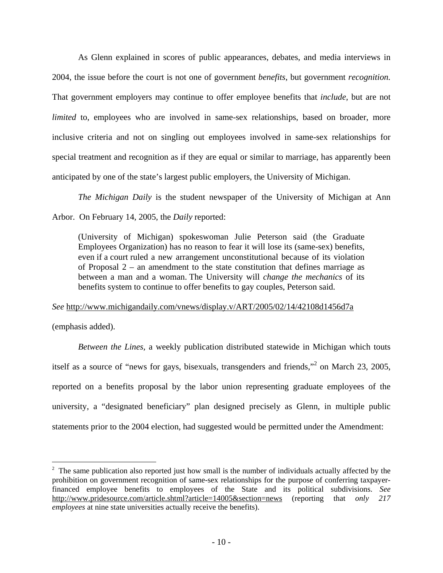As Glenn explained in scores of public appearances, debates, and media interviews in 2004, the issue before the court is not one of government *benefits*, but government *recognition.*  That government employers may continue to offer employee benefits that *include,* but are not *limited* to, employees who are involved in same-sex relationships, based on broader, more inclusive criteria and not on singling out employees involved in same-sex relationships for special treatment and recognition as if they are equal or similar to marriage, has apparently been anticipated by one of the state's largest public employers, the University of Michigan.

*The Michigan Daily* is the student newspaper of the University of Michigan at Ann Arbor. On February 14, 2005, the *Daily* reported:

(University of Michigan) spokeswoman Julie Peterson said (the Graduate Employees Organization) has no reason to fear it will lose its (same-sex) benefits, even if a court ruled a new arrangement unconstitutional because of its violation of Proposal 2 – an amendment to the state constitution that defines marriage as between a man and a woman. The University will *change the mechanics* of its benefits system to continue to offer benefits to gay couples, Peterson said.

#### *See* <http://www.michigandaily.com/vnews/display.v/ART/2005/02/14/42108d1456d7a>

(emphasis added).

1

*Between the Lines,* a weekly publication distributed statewide in Michigan which touts itself as a source of "news for gays, bisexuals, transgenders and friends,"[2](#page-14-0) on March 23, 2005, reported on a benefits proposal by the labor union representing graduate employees of the university, a "designated beneficiary" plan designed precisely as Glenn, in multiple public statements prior to the 2004 election, had suggested would be permitted under the Amendment:

<span id="page-14-0"></span> $2<sup>2</sup>$  The same publication also reported just how small is the number of individuals actually affected by the prohibition on government recognition of same-sex relationships for the purpose of conferring taxpayerfinanced employee benefits to employees of the State and its political subdivisions. *See* [http://www.pridesource.com/article.shtml?article=14005&section=news](http://www.pridesource.com/article.shtml?article=14005§ion=news) (reporting that *only 217 employees* at nine state universities actually receive the benefits).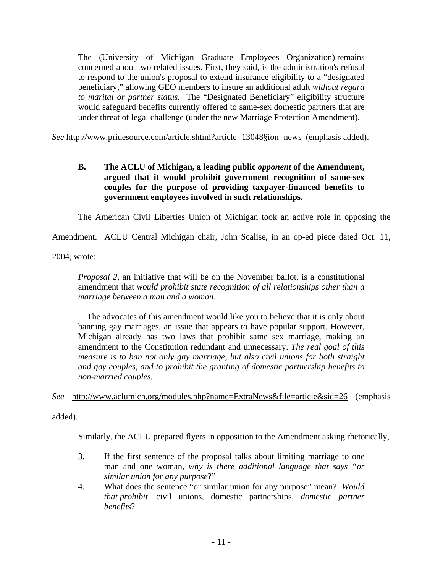The (University of Michigan Graduate Employees Organization) remains concerned about two related issues. First, they said, is the administration's refusal to respond to the union's proposal to extend insurance eligibility to a "designated beneficiary," allowing GEO members to insure an additional adult *without regard to marital or partner status.* The "Designated Beneficiary" eligibility structure would safeguard benefits currently offered to same-sex domestic partners that are under threat of legal challenge (under the new Marriage Protection Amendment).

*See* [http://www.pridesource.com/article.shtml?article=13048§ion=news](http://www.pridesource.com/article.shtml?article=13048�ion=news)) (emphasis added).

## **B. The ACLU of Michigan, a leading public** *opponent* **of the Amendment, argued that it would prohibit government recognition of same-sex couples for the purpose of providing taxpayer-financed benefits to government employees involved in such relationships.**

The American Civil Liberties Union of Michigan took an active role in opposing the

Amendment. ACLU Central Michigan chair, John Scalise, in an op-ed piece dated Oct. 11,

2004, wrote:

*Proposal 2*, an initiative that will be on the November ballot, is a constitutional amendment that *would prohibit state recognition of all relationships other than a marriage between a man and a woman*.

The advocates of this amendment would like you to believe that it is only about banning gay marriages, an issue that appears to have popular support. However, Michigan already has two laws that prohibit same sex marriage, making an amendment to the Constitution redundant and unnecessary. *The real goal of this measure is to ban not only gay marriage, but also civil unions for both straight and gay couples, and to prohibit the granting of domestic partnership benefits to non-married couples.*

### *See* <http://www.aclumich.org/modules.php?name=ExtraNews&file=article&sid=26>(emphasis

added).

Similarly, the ACLU prepared flyers in opposition to the Amendment asking rhetorically,

- 3. If the first sentence of the proposal talks about limiting marriage to one man and one woman, *why is there additional language that says "or similar union for any purpose*?"
- 4. What does the sentence "or similar union for any purpose" mean? *Would that prohibit* civil unions, domestic partnerships, *domestic partner benefits*?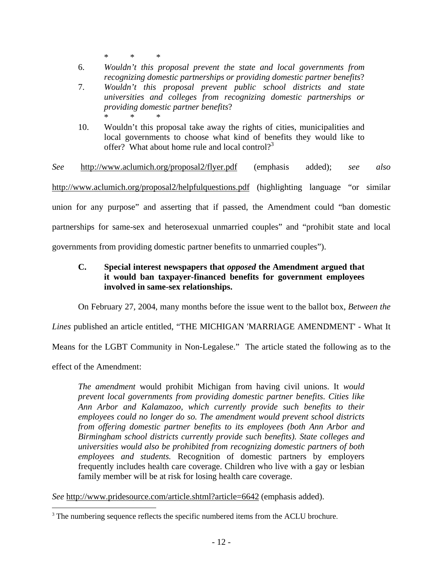\* \* \*

- 6. *Wouldn't this proposal prevent the state and local governments from recognizing domestic partnerships or providing domestic partner benefits*?
- 7. *Wouldn't this proposal prevent public school districts and state universities and colleges from recognizing domestic partnerships or providing domestic partner benefits*? \* \* \*
- 10. Wouldn't this proposal take away the rights of cities, municipalities and local governments to choose what kind of benefits they would like to offer? What about home rule and local control? $3^3$  $3^3$

*See* <http://www.aclumich.org/proposal2/flyer.pdf>(emphasis added); *see also* <http://www.aclumich.org/proposal2/helpfulquestions.pdf> (highlighting language "or similar union for any purpose" and asserting that if passed, the Amendment could "ban domestic partnerships for same-sex and heterosexual unmarried couples" and "prohibit state and local governments from providing domestic partner benefits to unmarried couples").

## **C. Special interest newspapers that** *opposed* **the Amendment argued that it would ban taxpayer-financed benefits for government employees involved in same-sex relationships.**

On February 27, 2004, many months before the issue went to the ballot box, *Between the* 

*Lines* published an article entitled, "THE MICHIGAN 'MARRIAGE AMENDMENT' - What It

Means for the LGBT Community in Non-Legalese." The article stated the following as to the

effect of the Amendment:

 $\overline{a}$ 

*The amendment* would prohibit Michigan from having civil unions. It *would prevent local governments from providing domestic partner benefits*. *Cities like Ann Arbor and Kalamazoo, which currently provide such benefits to their employees could no longer do so. The amendment would prevent school districts from offering domestic partner benefits to its employees (both Ann Arbor and Birmingham school districts currently provide such benefits). State colleges and universities would also be prohibited from recognizing domestic partners of both employees and students.* Recognition of domestic partners by employers frequently includes health care coverage. Children who live with a gay or lesbian family member will be at risk for losing health care coverage.

*See* <http://www.pridesource.com/article.shtml?article=6642> (emphasis added).

<span id="page-16-0"></span><sup>&</sup>lt;sup>3</sup> The numbering sequence reflects the specific numbered items from the ACLU brochure.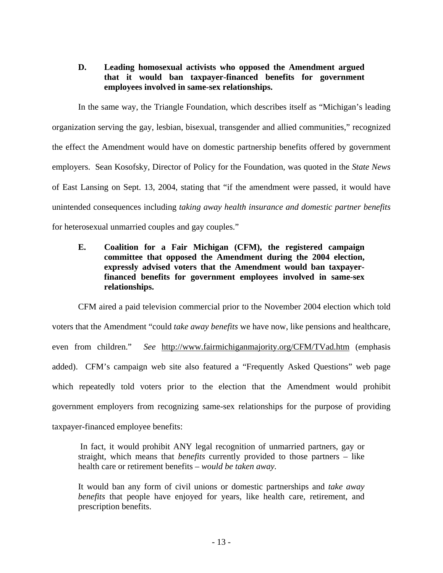## **D. Leading homosexual activists who opposed the Amendment argued that it would ban taxpayer-financed benefits for government employees involved in same-sex relationships.**

In the same way, the Triangle Foundation, which describes itself as "Michigan's leading organization serving the gay, lesbian, bisexual, transgender and allied communities," recognized the effect the Amendment would have on domestic partnership benefits offered by government employers. Sean Kosofsky, Director of Policy for the Foundation, was quoted in the *State News* of East Lansing on Sept. 13, 2004, stating that "if the amendment were passed, it would have unintended consequences including *taking away health insurance and domestic partner benefits* for heterosexual unmarried couples and gay couples."

## **E. Coalition for a Fair Michigan (CFM), the registered campaign committee that opposed the Amendment during the 2004 election, expressly advised voters that the Amendment would ban taxpayerfinanced benefits for government employees involved in same-sex relationships.**

CFM aired a paid television commercial prior to the November 2004 election which told voters that the Amendment "could *take away benefits* we have now, like pensions and healthcare, even from children." *See* <http://www.fairmichiganmajority.org/CFM/TVad.htm> (emphasis added). CFM's campaign web site also featured a "Frequently Asked Questions" web page which repeatedly told voters prior to the election that the Amendment would prohibit government employers from recognizing same-sex relationships for the purpose of providing taxpayer-financed employee benefits:

In fact, it would prohibit ANY legal recognition of unmarried partners, gay or straight, which means that *benefits* currently provided to those partners – like health care or retirement benefits *– would be taken away.* 

It would ban any form of civil unions or domestic partnerships and *take away benefits* that people have enjoyed for years, like health care, retirement, and prescription benefits.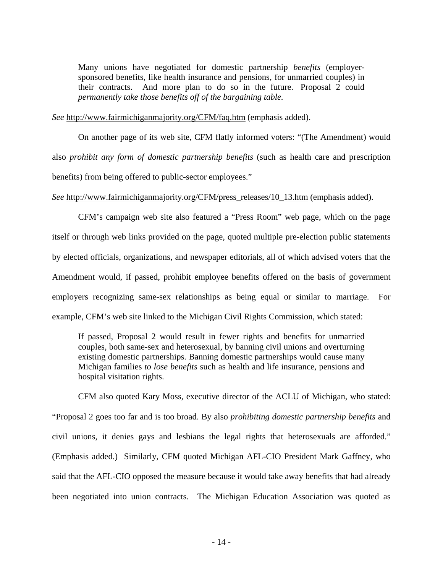Many unions have negotiated for domestic partnership *benefits* (employersponsored benefits, like health insurance and pensions, for unmarried couples) in their contracts. And more plan to do so in the future. Proposal 2 could *permanently take those benefits off of the bargaining table.* 

*See* <http://www.fairmichiganmajority.org/CFM/faq.htm> (emphasis added).

On another page of its web site, CFM flatly informed voters: "(The Amendment) would also *prohibit any form of domestic partnership benefits* (such as health care and prescription benefits) from being offered to public-sector employees."

#### *See* [http://www.fairmichiganmajority.org/CFM/press\\_releases/10\\_13.htm](http://www.fairmichiganmajority.org/CFM/press_releases/10_13.htm) (emphasis added).

CFM's campaign web site also featured a "Press Room" web page, which on the page itself or through web links provided on the page, quoted multiple pre-election public statements by elected officials, organizations, and newspaper editorials, all of which advised voters that the Amendment would, if passed, prohibit employee benefits offered on the basis of government employers recognizing same-sex relationships as being equal or similar to marriage. For example, CFM's web site linked to the Michigan Civil Rights Commission, which stated:

If passed, Proposal 2 would result in fewer rights and benefits for unmarried couples, both same-sex and heterosexual, by banning civil unions and overturning existing domestic partnerships. Banning domestic partnerships would cause many Michigan families *to lose benefits* such as health and life insurance, pensions and hospital visitation rights.

CFM also quoted Kary Moss, executive director of the ACLU of Michigan, who stated: "Proposal 2 goes too far and is too broad. By also *prohibiting domestic partnership benefits* and civil unions, it denies gays and lesbians the legal rights that heterosexuals are afforded." (Emphasis added.) Similarly, CFM quoted Michigan AFL-CIO President Mark Gaffney, who said that the AFL-CIO opposed the measure because it would take away benefits that had already been negotiated into union contracts. The Michigan Education Association was quoted as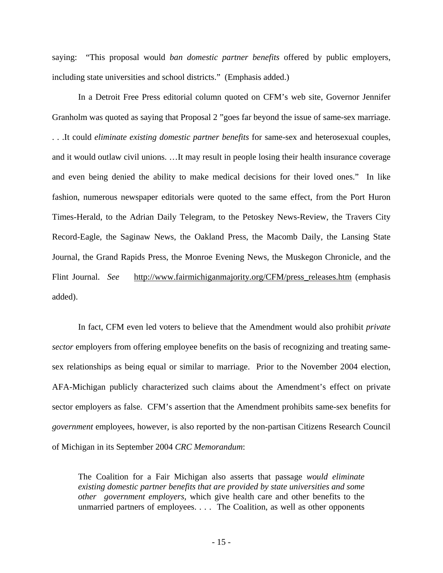saying: "This proposal would *ban domestic partner benefits* offered by public employers, including state universities and school districts." (Emphasis added.)

In a Detroit Free Press editorial column quoted on CFM's web site, Governor Jennifer Granholm was quoted as saying that Proposal 2 "goes far beyond the issue of same-sex marriage. . . .It could *eliminate existing domestic partner benefits* for same-sex and heterosexual couples, and it would outlaw civil unions. …It may result in people losing their health insurance coverage and even being denied the ability to make medical decisions for their loved ones." In like fashion, numerous newspaper editorials were quoted to the same effect, from the Port Huron Times-Herald, to the Adrian Daily Telegram, to the Petoskey News-Review, the Travers City Record-Eagle, the Saginaw News, the Oakland Press, the Macomb Daily, the Lansing State Journal, the Grand Rapids Press, the Monroe Evening News, the Muskegon Chronicle, and the Flint Journal. *See* [http://www.fairmichiganmajority.org/CFM/press\\_releases.htm](http://www.fairmichiganmajority.org/CFM/press_releases.htm) (emphasis added).

In fact, CFM even led voters to believe that the Amendment would also prohibit *private sector* employers from offering employee benefits on the basis of recognizing and treating samesex relationships as being equal or similar to marriage. Prior to the November 2004 election, AFA-Michigan publicly characterized such claims about the Amendment's effect on private sector employers as false. CFM's assertion that the Amendment prohibits same-sex benefits for *government* employees, however, is also reported by the non-partisan Citizens Research Council of Michigan in its September 2004 *CRC Memorandum*:

The Coalition for a Fair Michigan also asserts that passage *would eliminate existing domestic partner benefits that are provided by state universities and some other government employers,* which give health care and other benefits to the unmarried partners of employees. . . . The Coalition, as well as other opponents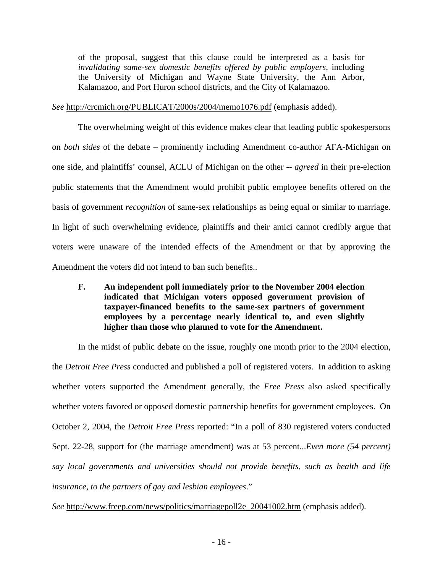of the proposal, suggest that this clause could be interpreted as a basis for *invalidating same-sex domestic benefits offered by public employers,* including the University of Michigan and Wayne State University, the Ann Arbor, Kalamazoo, and Port Huron school districts, and the City of Kalamazoo.

*See* <http://crcmich.org/PUBLICAT/2000s/2004/memo1076.pdf>(emphasis added).

The overwhelming weight of this evidence makes clear that leading public spokespersons on *both sides* of the debate – prominently including Amendment co-author AFA-Michigan on one side, and plaintiffs' counsel, ACLU of Michigan on the other -- *agreed* in their pre-election public statements that the Amendment would prohibit public employee benefits offered on the basis of government *recognition* of same-sex relationships as being equal or similar to marriage. In light of such overwhelming evidence, plaintiffs and their amici cannot credibly argue that voters were unaware of the intended effects of the Amendment or that by approving the Amendment the voters did not intend to ban such benefits..

**F. An independent poll immediately prior to the November 2004 election indicated that Michigan voters opposed government provision of taxpayer-financed benefits to the same-sex partners of government employees by a percentage nearly identical to, and even slightly higher than those who planned to vote for the Amendment.** 

In the midst of public debate on the issue, roughly one month prior to the 2004 election, the *Detroit Free Press* conducted and published a poll of registered voters. In addition to asking whether voters supported the Amendment generally, the *Free Press* also asked specifically whether voters favored or opposed domestic partnership benefits for government employees. On October 2, 2004, the *Detroit Free Press* reported: "In a poll of 830 registered voters conducted Sept. 22-28, support for (the marriage amendment) was at 53 percent...*Even more (54 percent) say local governments and universities should not provide benefits, such as health and life insurance, to the partners of gay and lesbian employees*."

*See* [http://www.freep.com/news/politics/marriagepoll2e\\_20041002.htm](http://www.freep.com/news/politics/marriagepoll2e_20041002.htm) (emphasis added).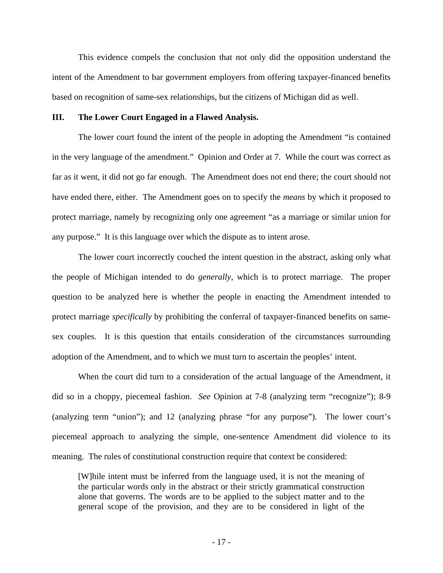This evidence compels the conclusion that not only did the opposition understand the intent of the Amendment to bar government employers from offering taxpayer-financed benefits based on recognition of same-sex relationships, but the citizens of Michigan did as well.

#### **III. The Lower Court Engaged in a Flawed Analysis.**

The lower court found the intent of the people in adopting the Amendment "is contained in the very language of the amendment." Opinion and Order at 7. While the court was correct as far as it went, it did not go far enough. The Amendment does not end there; the court should not have ended there, either. The Amendment goes on to specify the *means* by which it proposed to protect marriage, namely by recognizing only one agreement "as a marriage or similar union for any purpose." It is this language over which the dispute as to intent arose.

The lower court incorrectly couched the intent question in the abstract, asking only what the people of Michigan intended to do *generally*, which is to protect marriage. The proper question to be analyzed here is whether the people in enacting the Amendment intended to protect marriage *specifically* by prohibiting the conferral of taxpayer-financed benefits on samesex couples. It is this question that entails consideration of the circumstances surrounding adoption of the Amendment, and to which we must turn to ascertain the peoples' intent.

When the court did turn to a consideration of the actual language of the Amendment, it did so in a choppy, piecemeal fashion. *See* Opinion at 7-8 (analyzing term "recognize"); 8-9 (analyzing term "union"); and 12 (analyzing phrase "for any purpose"). The lower court's piecemeal approach to analyzing the simple, one-sentence Amendment did violence to its meaning. The rules of constitutional construction require that context be considered:

[W]hile intent must be inferred from the language used, it is not the meaning of the particular words only in the abstract or their strictly grammatical construction alone that governs. The words are to be applied to the subject matter and to the general scope of the provision, and they are to be considered in light of the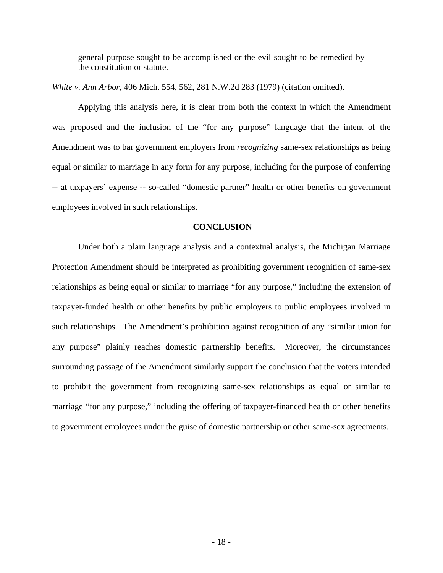general purpose sought to be accomplished or the evil sought to be remedied by the constitution or statute.

*White v. Ann Arbor*, 406 Mich. 554, 562, 281 N.W.2d 283 (1979) (citation omitted).

Applying this analysis here, it is clear from both the context in which the Amendment was proposed and the inclusion of the "for any purpose" language that the intent of the Amendment was to bar government employers from *recognizing* same-sex relationships as being equal or similar to marriage in any form for any purpose, including for the purpose of conferring -- at taxpayers' expense -- so-called "domestic partner" health or other benefits on government employees involved in such relationships.

#### **CONCLUSION**

Under both a plain language analysis and a contextual analysis, the Michigan Marriage Protection Amendment should be interpreted as prohibiting government recognition of same-sex relationships as being equal or similar to marriage "for any purpose," including the extension of taxpayer-funded health or other benefits by public employers to public employees involved in such relationships. The Amendment's prohibition against recognition of any "similar union for any purpose" plainly reaches domestic partnership benefits. Moreover, the circumstances surrounding passage of the Amendment similarly support the conclusion that the voters intended to prohibit the government from recognizing same-sex relationships as equal or similar to marriage "for any purpose," including the offering of taxpayer-financed health or other benefits to government employees under the guise of domestic partnership or other same-sex agreements.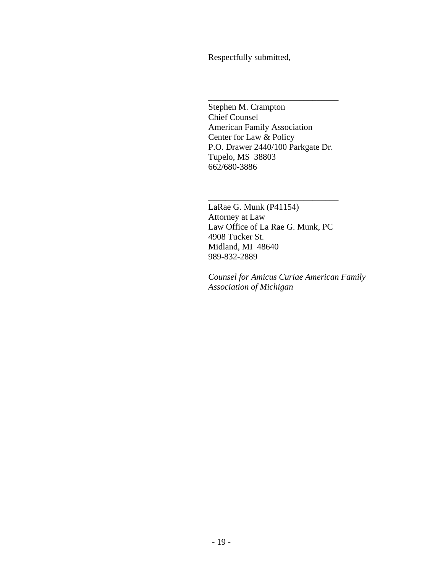Respectfully submitted,

 $\frac{1}{\sqrt{2}}$  ,  $\frac{1}{\sqrt{2}}$  ,  $\frac{1}{\sqrt{2}}$  ,  $\frac{1}{\sqrt{2}}$  ,  $\frac{1}{\sqrt{2}}$  ,  $\frac{1}{\sqrt{2}}$  ,  $\frac{1}{\sqrt{2}}$  ,  $\frac{1}{\sqrt{2}}$  ,  $\frac{1}{\sqrt{2}}$  ,  $\frac{1}{\sqrt{2}}$  ,  $\frac{1}{\sqrt{2}}$  ,  $\frac{1}{\sqrt{2}}$  ,  $\frac{1}{\sqrt{2}}$  ,  $\frac{1}{\sqrt{2}}$  ,  $\frac{1}{\sqrt{2}}$ 

 $\frac{1}{\sqrt{2}}$  ,  $\frac{1}{\sqrt{2}}$  ,  $\frac{1}{\sqrt{2}}$  ,  $\frac{1}{\sqrt{2}}$  ,  $\frac{1}{\sqrt{2}}$  ,  $\frac{1}{\sqrt{2}}$  ,  $\frac{1}{\sqrt{2}}$  ,  $\frac{1}{\sqrt{2}}$  ,  $\frac{1}{\sqrt{2}}$  ,  $\frac{1}{\sqrt{2}}$  ,  $\frac{1}{\sqrt{2}}$  ,  $\frac{1}{\sqrt{2}}$  ,  $\frac{1}{\sqrt{2}}$  ,  $\frac{1}{\sqrt{2}}$  ,  $\frac{1}{\sqrt{2}}$ 

 Stephen M. Crampton Chief Counsel American Family Association Center for Law & Policy P.O. Drawer 2440/100 Parkgate Dr. Tupelo, MS 38803 662/680-3886

 LaRae G. Munk (P41154) Attorney at Law Law Office of La Rae G. Munk, PC 4908 Tucker St. Midland, MI 48640 989-832-2889

 *Counsel for Amicus Curiae American Family Association of Michigan*